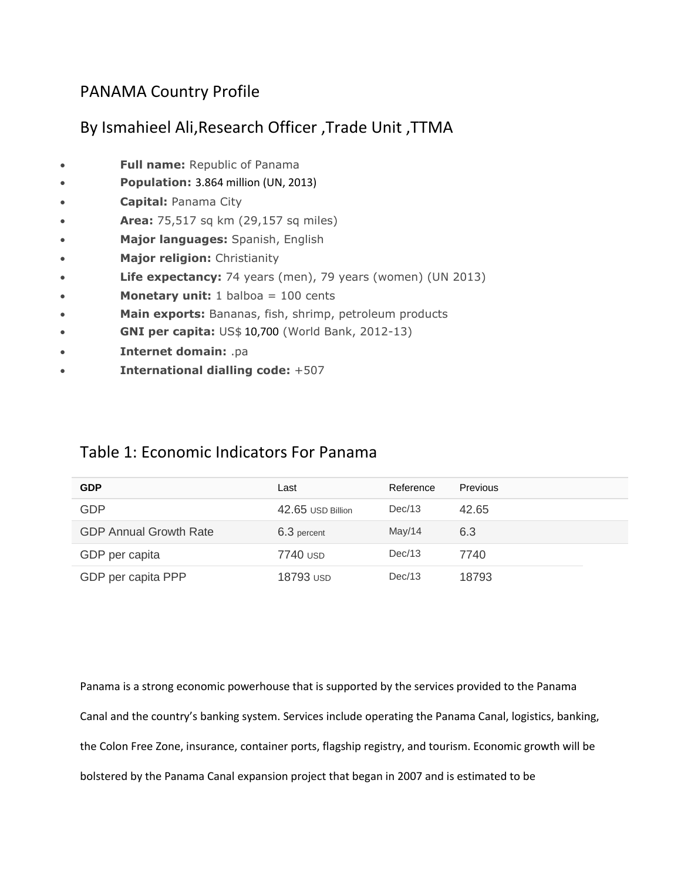## PANAMA Country Profile

## By Ismahieel Ali,Research Officer ,Trade Unit ,TTMA

- **Full name:** Republic of Panama
- **Population:** 3.864 million (UN, 2013)
- **Capital:** Panama City
- **Area:** 75,517 sq km (29,157 sq miles)
- **Major languages:** Spanish, English
- **Major religion:** Christianity
- **Life expectancy:** 74 years (men), 79 years (women) (UN 2013)
- **Monetary unit:** 1 balboa = 100 cents
- **Main exports:** Bananas, fish, shrimp, petroleum products
- **GNI per capita:** US\$ 10,700 (World Bank, 2012-13)
- **Internet domain:** .pa
- **International dialling code:** +507

## Table 1: Economic Indicators For Panama

| <b>GDP</b>                    | Last              | Reference | Previous |
|-------------------------------|-------------------|-----------|----------|
| <b>GDP</b>                    | 42.65 USD Billion | Dec/13    | 42.65    |
| <b>GDP Annual Growth Rate</b> | 6.3 percent       | May/14    | 6.3      |
| GDP per capita                | 7740 USD          | Dec/13    | 7740     |
| GDP per capita PPP            | 18793 USD         | Dec/13    | 18793    |

Panama is a strong economic powerhouse that is supported by the services provided to the Panama Canal and the country's banking system. Services include operating the Panama Canal, logistics, banking, the Colon Free Zone, insurance, container ports, flagship registry, and tourism. Economic growth will be bolstered by the Panama Canal expansion project that began in 2007 and is estimated to be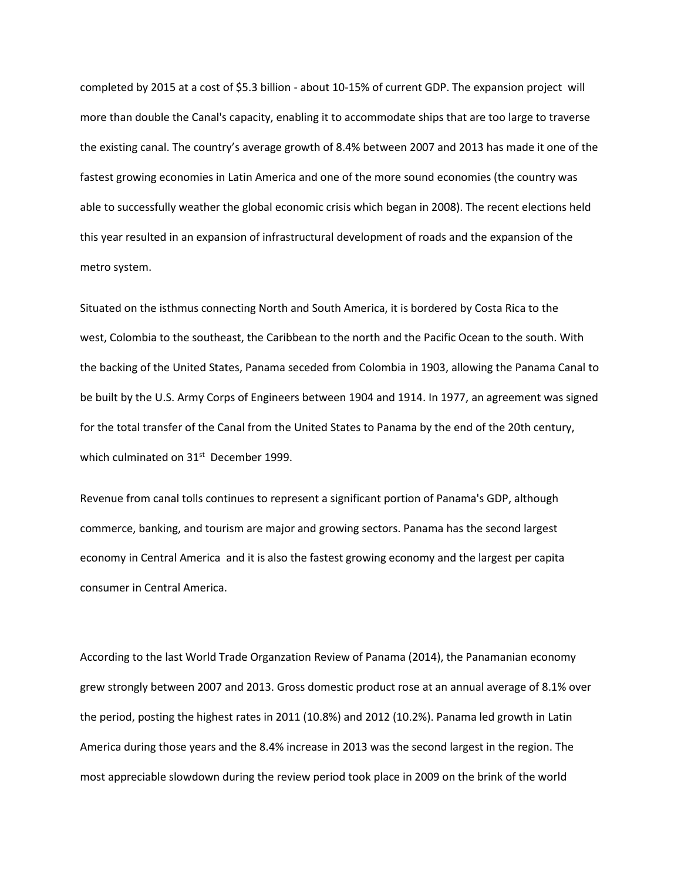completed by 2015 at a cost of \$5.3 billion - about 10-15% of current GDP. The expansion project will more than double the Canal's capacity, enabling it to accommodate ships that are too large to traverse the existing canal. The country's average growth of 8.4% between 2007 and 2013 has made it one of the fastest growing economies in Latin America and one of the more sound economies (the country was able to successfully weather the global economic crisis which began in 2008). The recent elections held this year resulted in an expansion of infrastructural development of roads and the expansion of the metro system.

Situated on the isthmus connecting North and South America, it is bordered by Costa Rica to the west, Colombia to the southeast, the Caribbean to the north and the Pacific Ocean to the south. With the backing of the United States, Panama seceded from Colombia in 1903, allowing the Panama Canal to be built by the U.S. Army Corps of Engineers between 1904 and 1914. In 1977, an agreement was signed for the total transfer of the Canal from the United States to Panama by the end of the 20th century, which culminated on 31<sup>st</sup> December 1999.

Revenue from canal tolls continues to represent a significant portion of Panama's GDP, although commerce, banking, and tourism are major and growing sectors. Panama has the second largest economy in Central America and it is also the fastest growing economy and the largest per capita consumer in Central America.

According to the last World Trade Organzation Review of Panama (2014), the Panamanian economy grew strongly between 2007 and 2013. Gross domestic product rose at an annual average of 8.1% over the period, posting the highest rates in 2011 (10.8%) and 2012 (10.2%). Panama led growth in Latin America during those years and the 8.4% increase in 2013 was the second largest in the region. The most appreciable slowdown during the review period took place in 2009 on the brink of the world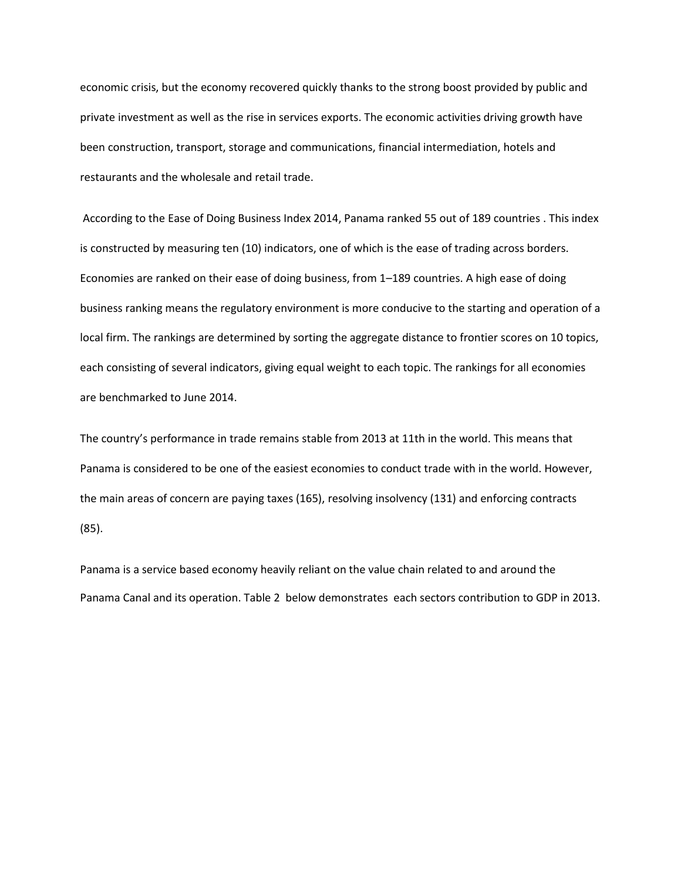economic crisis, but the economy recovered quickly thanks to the strong boost provided by public and private investment as well as the rise in services exports. The economic activities driving growth have been construction, transport, storage and communications, financial intermediation, hotels and restaurants and the wholesale and retail trade.

According to the Ease of Doing Business Index 2014, Panama ranked 55 out of 189 countries . This index is constructed by measuring ten (10) indicators, one of which is the ease of trading across borders. Economies are ranked on their ease of doing business, from 1–189 countries. A high ease of doing business ranking means the regulatory environment is more conducive to the starting and operation of a local firm. The rankings are determined by sorting the aggregate distance to frontier scores on 10 topics, each consisting of several indicators, giving equal weight to each topic. The rankings for all economies are benchmarked to June 2014.

The country's performance in trade remains stable from 2013 at 11th in the world. This means that Panama is considered to be one of the easiest economies to conduct trade with in the world. However, the main areas of concern are paying taxes (165), resolving insolvency (131) and enforcing contracts (85).

Panama is a service based economy heavily reliant on the value chain related to and around the Panama Canal and its operation. Table 2 below demonstrates each sectors contribution to GDP in 2013.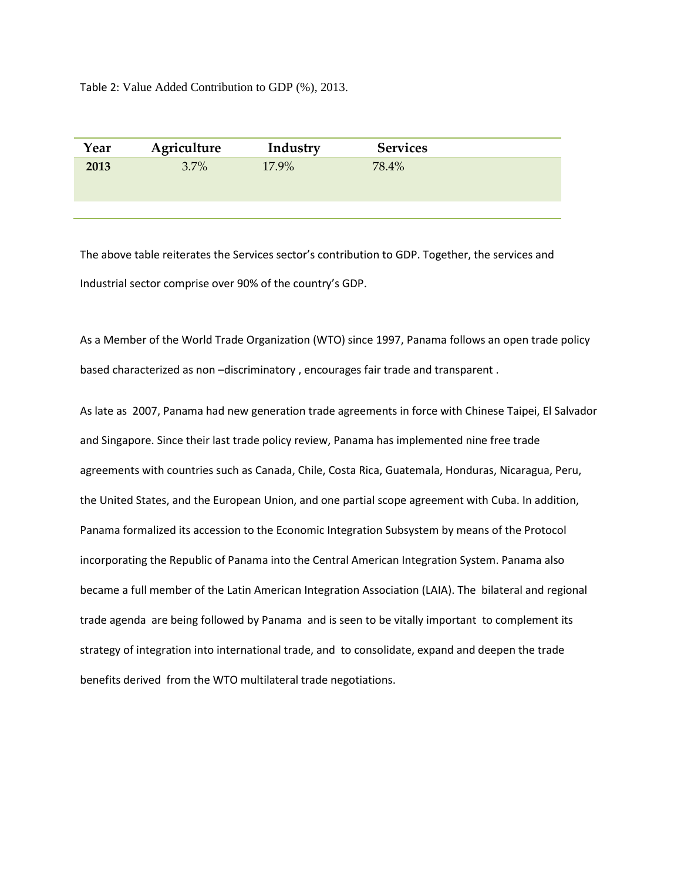Table 2: Value Added Contribution to GDP (%), 2013.

| Year | Agriculture | Industry | <b>Services</b> |  |
|------|-------------|----------|-----------------|--|
| 2013 | $3.7\%$     | 17.9%    | 78.4%           |  |
|      |             |          |                 |  |

The above table reiterates the Services sector's contribution to GDP. Together, the services and Industrial sector comprise over 90% of the country's GDP.

As a Member of the World Trade Organization (WTO) since 1997, Panama follows an open trade policy based characterized as non –discriminatory , encourages fair trade and transparent .

As late as 2007, Panama had new generation trade agreements in force with Chinese Taipei, El Salvador and Singapore. Since their last trade policy review, Panama has implemented nine free trade agreements with countries such as Canada, Chile, Costa Rica, Guatemala, Honduras, Nicaragua, Peru, the United States, and the European Union, and one partial scope agreement with Cuba. In addition, Panama formalized its accession to the Economic Integration Subsystem by means of the Protocol incorporating the Republic of Panama into the Central American Integration System. Panama also became a full member of the Latin American Integration Association (LAIA). The bilateral and regional trade agenda are being followed by Panama and is seen to be vitally important to complement its strategy of integration into international trade, and to consolidate, expand and deepen the trade benefits derived from the WTO multilateral trade negotiations.